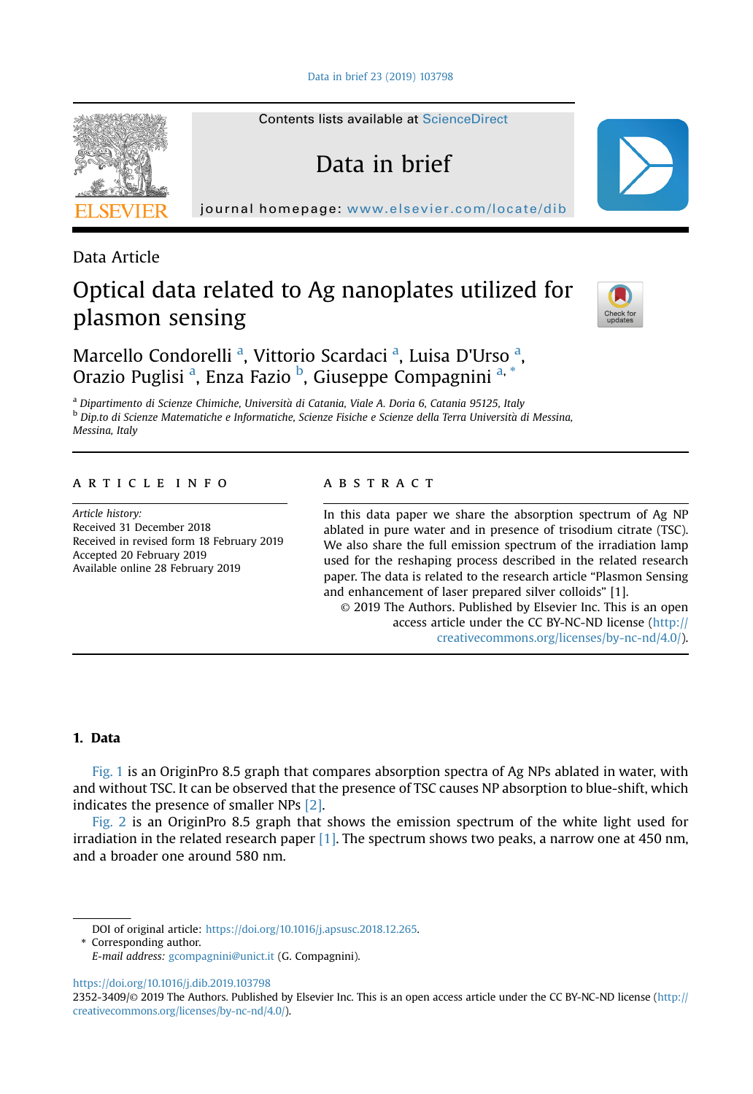[Data in brief 23 \(2019\) 103798](https://doi.org/10.1016/j.dib.2019.103798)

Contents lists available at [ScienceDirect](www.sciencedirect.com/science/journal/23523409)

Data in brief

journal homepage: <www.elsevier.com/locate/dib>



Data Article

# Optical data related to Ag nanoplates utilized for plasmon sensing



Marcello Condorelli<sup>a</sup>, Vittorio Scardaci<sup>a</sup>, Luisa D'Urso<sup>a</sup>, Orazio Puglisi<sup>a</sup>, Enza Fazio<sup>b</sup>, Giuseppe Compagnini<sup>a,\*</sup>

<sup>a</sup> Dipartimento di Scienze Chimiche, Universita di Catania, Viale A. Doria 6, Catania 95125, Italy <sup>b</sup> Dip.to di Scienze Matematiche e Informatiche, Scienze Fisiche e Scienze della Terra Universita di Messina, Messina, Italy

#### article info

Article history: Received 31 December 2018 Received in revised form 18 February 2019 Accepted 20 February 2019 Available online 28 February 2019

#### abstract

In this data paper we share the absorption spectrum of Ag NP ablated in pure water and in presence of trisodium citrate (TSC). We also share the full emission spectrum of the irradiation lamp used for the reshaping process described in the related research paper. The data is related to the research article "Plasmon Sensing and enhancement of laser prepared silver colloids" [1].

© 2019 The Authors. Published by Elsevier Inc. This is an open access article under the CC BY-NC-ND license ([http://](http://creativecommons.org/licenses/by-nc-nd/4.0/) [creativecommons.org/licenses/by-nc-nd/4.0/](http://creativecommons.org/licenses/by-nc-nd/4.0/)).

## 1. Data

[Fig. 1](#page-1-0) is an OriginPro 8.5 graph that compares absorption spectra of Ag NPs ablated in water, with and without TSC. It can be observed that the presence of TSC causes NP absorption to blue-shift, which indicates the presence of smaller NPs [\[2\]](#page-2-0).

[Fig. 2](#page-2-0) is an OriginPro 8.5 graph that shows the emission spectrum of the white light used for irradiation in the related research paper  $[1]$ . The spectrum shows two peaks, a narrow one at 450 nm, and a broader one around 580 nm.

\* Corresponding author.

<https://doi.org/10.1016/j.dib.2019.103798>

DOI of original article: <https://doi.org/10.1016/j.apsusc.2018.12.265>.

E-mail address: [gcompagnini@unict.it](mailto:gcompagnini@unict.it) (G. Compagnini).

<sup>2352-3409/</sup>© 2019 The Authors. Published by Elsevier Inc. This is an open access article under the CC BY-NC-ND license ([http://](http://creativecommons.org/licenses/by-nc-nd/4.0/) [creativecommons.org/licenses/by-nc-nd/4.0/](http://creativecommons.org/licenses/by-nc-nd/4.0/)).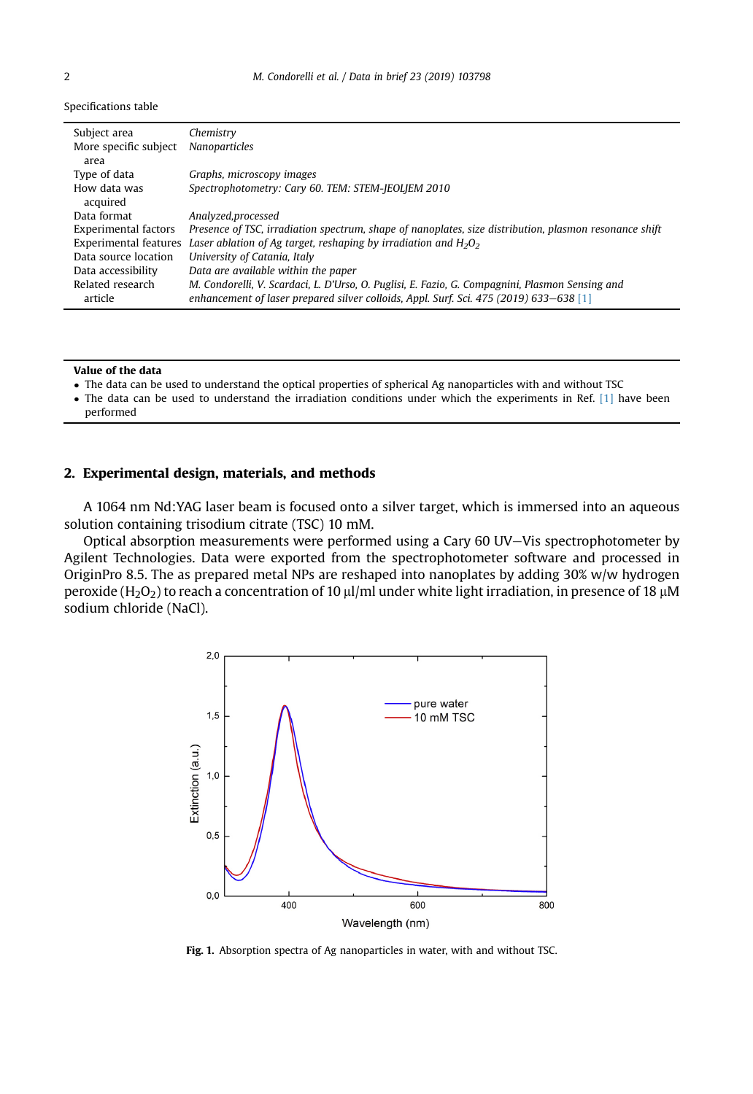<span id="page-1-0"></span>Specifications table

| Subject area<br>More specific subject | Chemistry<br>Nanoparticles                                                                                                                                                                |
|---------------------------------------|-------------------------------------------------------------------------------------------------------------------------------------------------------------------------------------------|
| area                                  |                                                                                                                                                                                           |
| Type of data                          | Graphs, microscopy images                                                                                                                                                                 |
| How data was<br>acquired              | Spectrophotometry: Cary 60. TEM: STEM-JEOLJEM 2010                                                                                                                                        |
| Data format                           | Analyzed, processed                                                                                                                                                                       |
| Experimental factors                  | Presence of TSC, irradiation spectrum, shape of nanoplates, size distribution, plasmon resonance shift                                                                                    |
| Experimental features                 | Laser ablation of Ag target, reshaping by irradiation and $H_2O_2$                                                                                                                        |
| Data source location                  | University of Catania, Italy                                                                                                                                                              |
| Data accessibility                    | Data are available within the paper                                                                                                                                                       |
| Related research<br>article           | M. Condorelli, V. Scardaci, L. D'Urso, O. Puglisi, E. Fazio, G. Compagnini, Plasmon Sensing and<br>enhancement of laser prepared silver colloids, Appl. Surf. Sci. 475 (2019) 633–638 [1] |

#### Value of the data

- The data can be used to understand the optical properties of spherical Ag nanoparticles with and without TSC
- The data can be used to understand the irradiation conditions under which the experiments in Ref. [\[1\]](#page-2-0) have been performed

#### 2. Experimental design, materials, and methods

A 1064 nm Nd:YAG laser beam is focused onto a silver target, which is immersed into an aqueous solution containing trisodium citrate (TSC) 10 mM.

Optical absorption measurements were performed using a Cary 60 UV-Vis spectrophotometer by Agilent Technologies. Data were exported from the spectrophotometer software and processed in OriginPro 8.5. The as prepared metal NPs are reshaped into nanoplates by adding 30% w/w hydrogen peroxide (H<sub>2</sub>O<sub>2</sub>) to reach a concentration of 10  $\mu$ l/ml under white light irradiation, in presence of 18  $\mu$ M sodium chloride (NaCl).



Fig. 1. Absorption spectra of Ag nanoparticles in water, with and without TSC.